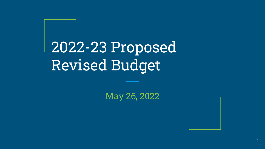2022-23 Proposed Revised Budget

May 26, 2022

1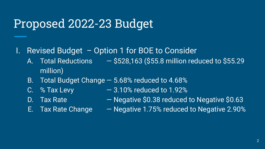### Proposed 2022-23 Budget

- I. Revised Budget Option 1 for BOE to Consider
	- A. Total Reductions  $-$  \$528,163 (\$55.8 million reduced to \$55.29 million)
	- B. Total Budget Change 5.68% reduced to 4.68%
	-
	- C.  $\%$  Tax Levy  $-3.10\%$  reduced to 1.92%
	-
	- D. Tax Rate  $-$  Negative \$0.38 reduced to Negative \$0.63
	-
	- E. Tax Rate Change Negative 1.75% reduced to Negative 2.90%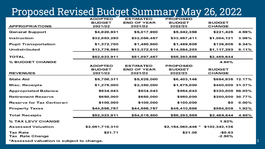### Proposed Revised Budget Summary May 26, 2022

|                                           | <b>ADOPTED</b>  | <b>ESTIMATED</b>   | <b>PROPOSED</b>    |                      |          |
|-------------------------------------------|-----------------|--------------------|--------------------|----------------------|----------|
|                                           | <b>BUDGET</b>   | <b>END OF YEAR</b> | <b>BUDGET</b>      | <b>BUDGET</b>        |          |
| <b>APPROPRIATIONS</b>                     | 2021/22         | 2021/22            | 2022/23            | <b>CHANGE</b>        |          |
| <b>General Support</b>                    | \$4,820,931     | \$5,017,900        | \$5,042,356        | \$221,425            | 4.59%    |
| Instruction                               | \$32,853,290    | \$32,056,457       | \$33,857,411       | \$1,004,121          | 3.06%    |
| <b>Pupil Transportation</b>               | \$1,372,700     | \$1,450,500        | \$1,499,505        | \$126,805            | 9.24%    |
| <b>Undistributed</b>                      | \$13,776,990    | \$13,372,610       | \$14,894,283       | \$1,117,293          | 8.11%    |
| <b>TOTAL</b>                              | \$52,823,911    | \$51,897,467       | \$55,293,555       | \$2,469,644          |          |
| % BUDGET CHANGE                           |                 |                    |                    | 4.68%                |          |
|                                           | <b>ADOPTED</b>  | <b>ESTIMATED</b>   | <b>PROPOSED</b>    |                      |          |
|                                           | <b>BUDGET</b>   | <b>END OF YEAR</b> | <b>BUDGET</b>      | <b>BUDGET</b>        |          |
| <b>REVENUES</b>                           | 2021/22         | 2021/22            | 2022/23            | <b>CHANGE</b>        |          |
| <b>State Aid</b>                          | \$5,708,311     | \$5,825,000        | \$6,403,146        | \$694,835 12.17%     |          |
| <b>Misc. Receipts</b>                     | \$1,275,000     | \$2,350,000        | \$1,675,000        | \$400,000 31.37%     |          |
| <b>Appropriated Balance</b>               | \$534,843       | \$534,843          | \$854,843          | \$320,000 59.83%     |          |
| <b>Retirement Reserve</b>                 | \$650,000       | \$650,000          | \$850,000          | \$200,000 30.77%     |          |
| <b>Reserve for Tax Certiorari</b>         | \$100,000       | \$100,000          | \$100,000          | \$0                  | $0.00\%$ |
| <b>Property Taxes</b>                     | \$44,555,757    | \$44,555,757       | \$45,410,566       | \$854,809            | 1.92%    |
| <b>Total Receipts</b>                     | \$52,823,911    | \$54,015,600       | \$55,293,555       | \$2,469,644          | 4.68%    |
| % TAX LEVY CHANGE                         |                 |                    |                    | 1.92%                |          |
| <b>Assessed Valuation</b>                 | \$2,051,718,310 |                    | $$2,154,060,446$ * | \$102,342,136        |          |
| <b>Tax Rate</b><br><b>Tax Rate Change</b> | \$21.71         |                    | \$21.08            | $-$0.63$<br>$-2.90%$ |          |

\*Assessed valuation is subject to change.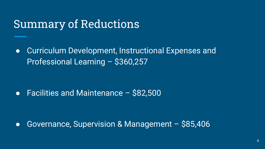### Summary of Reductions

● Curriculum Development, Instructional Expenses and Professional Learning – \$360,257

● Facilities and Maintenance – \$82,500

● Governance, Supervision & Management – \$85,406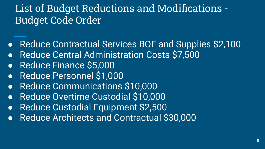### List of Budget Reductions and Modifications - Budget Code Order

- Reduce Contractual Services BOE and Supplies \$2,100
- Reduce Central Administration Costs \$7,500
- Reduce Finance \$5,000
- Reduce Personnel \$1,000
- Reduce Communications \$10,000
- Reduce Overtime Custodial \$10,000
- Reduce Custodial Equipment \$2,500
- Reduce Architects and Contractual \$30,000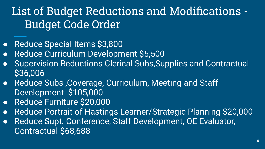# List of Budget Reductions and Modifications - Budget Code Order

- Reduce Special Items \$3,800
- Reduce Curriculum Development \$5,500
- **Supervision Reductions Clerical Subs, Supplies and Contractual** \$36,006
- Reduce Subs, Coverage, Curriculum, Meeting and Staff Development \$105,000
- Reduce Furniture \$20,000
- Reduce Portrait of Hastings Learner/Strategic Planning \$20,000
- Reduce Supt. Conference, Staff Development, OE Evaluator, Contractual \$68,688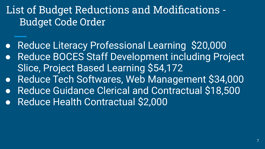### List of Budget Reductions and Modifications - Budget Code Order

- Reduce Literacy Professional Learning \$20,000
- Reduce BOCES Staff Development including Project Slice, Project Based Learning \$54,172
- Reduce Tech Softwares, Web Management \$34,000
- Reduce Guidance Clerical and Contractual \$18,500
- Reduce Health Contractual \$2,000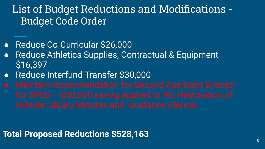### List of Budget Reductions and Modifications - Budget Code Order

- Reduce Co-Curricular \$26,000
- Reduce Athletics Supplies, Contractual & Equipment \$16,397
- Reduce Interfund Transfer \$30,000
- 

#### **Total Proposed Reductions \$528,163**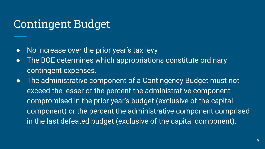### Contingent Budget

- No increase over the prior year's tax levy
- The BOE determines which appropriations constitute ordinary contingent expenses.
- The administrative component of a Contingency Budget must not exceed the lesser of the percent the administrative component compromised in the prior year's budget (exclusive of the capital component) or the percent the administrative component comprised in the last defeated budget (exclusive of the capital component).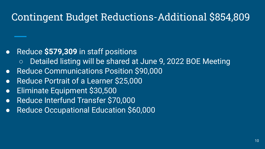### Contingent Budget Reductions-Additional \$854,809

#### ● Reduce **\$579,309** in staff positions

- Detailed listing will be shared at June 9, 2022 BOE Meeting
- Reduce Communications Position \$90,000
- Reduce Portrait of a Learner \$25,000
- Eliminate Equipment \$30,500
- Reduce Interfund Transfer \$70,000
- Reduce Occupational Education \$60,000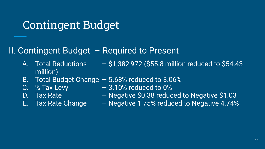### Contingent Budget

#### II. Contingent Budget – Required to Present

- A. Total Reductions  $-$  \$1,382,972 (\$55.8 million reduced to \$54.43 million)
- B. Total Budget Change 5.68% reduced to 3.06%
- 
- 
- 
- C. % Tax Levy  $-3.10\%$  reduced to 0%
- D. Tax Rate  $-$  Negative \$0.38 reduced to Negative \$1.03
- E. Tax Rate Change Negative 1.75% reduced to Negative 4.74%